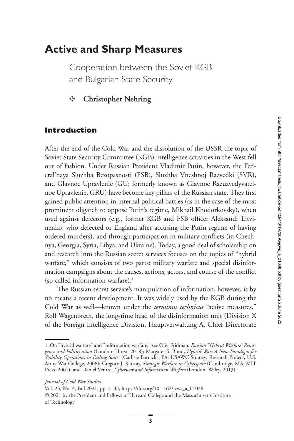# **Active and Sharp Measures**

Cooperation between the Soviet KGB and Bulgarian State Security

#### ✣ **Christopher Nehring**

#### **Introduction**

After the end of the Cold War and the dissolution of the USSR the topic of Soviet State Security Committee (KGB) intelligence activities in the West fell out of fashion. Under Russian President Vladimir Putin, however, the Federal'naya Sluzhba Bezopasnosti (FSB), Sluzhba Vneshnoj Razvedki (SVR), and Glavnoe Upravlenie (GU; formerly known as Glavnoe Razuzvedyvatelnoe Upravlenie, GRU) have become key pillars of the Russian state. They first gained public attention in internal political battles (as in the case of the most prominent oligarch to oppose Putin's regime, Mikhail Khodorkovsky), when used against defectors (e.g., former KGB and FSB officer Aleksandr Litvinenko, who defected to England after accusing the Putin regime of having ordered murders), and through participation in military conflicts (in Chechnya, Georgia, Syria, Libya, and Ukraine). Today, a good deal of scholarship on and research into the Russian secret services focuses on the topics of "hybrid warfare," which consists of two parts: military warfare and special disinformation campaigns about the causes, actions, actors, and course of the conflict (so-called information warfare). $<sup>1</sup>$ </sup>

The Russian secret service's manipulation of information, however, is by no means a recent development. It was widely used by the KGB during the Cold War as well—known under the *terminus technicus* "active measures." Rolf Wagenbreth, the long-time head of the disinformation unit (Division X of the Foreign Intelligence Division, Hauptverwaltung A, Chief Directorate

Vol. 23, No. 4, Fall 2021, pp. 3–33, [https://doi.org/10.1162/jcws\\_a\\_01038](https://doi.org/10.1162/jcws_a_01038) © 2021 by the President and Fellows of Harvard College and the Massachusetts Institute of Technology

<span id="page-0-0"></span><sup>1.</sup> On "hybrid warfare" and "information warfare," see Ofer Fridman, *Russian "Hybrid Warfare" Resurgence and Politicisation* (London: Hurst, 2018); Margaret S. Bond, *Hybrid War: A New Paradigm for Stability Operations in Failing States* (Carlisle Barracks, PA: USAWC Strategy Research Project, U.S. Army War College, 2008); Gregory J. Rattray, *Strategic Warfare in Cyberspace* (Cambridge, MA: MIT Press, 2001); and Daniel Ventre, *Cyberwar and Information Warfare* (London: Wiley, 2013).

*Journal of Cold War Studies*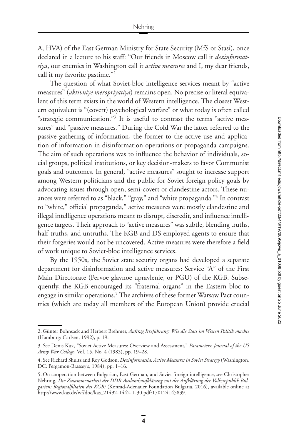A, HVA) of the East German Ministry for State Security (MfS or Stasi), once declared in a lecture to his staff: "Our friends in Moscow call it *dezinformatsiya*, our enemies in Washington call it *active measures* and I, my dear friends, call it my favorite pastime."<sup>2</sup>

The question of what Soviet-bloc intelligence services meant by "active measures" (*aktivniye meropriyatiya*) remains open. No precise or literal equivalent of this term exists in the world of Western intelligence. The closest Western equivalent is "(covert) psychological warfare" or what today is often called "strategic communication.["3](#page-1-1) It is useful to contrast the terms "active measures" and "passive measures." During the Cold War the latter referred to the passive gathering of information, the former to the active use and application of information in disinformation operations or propaganda campaigns. The aim of such operations was to influence the behavior of individuals, social groups, political institutions, or key decision-makers to favor Communist goals and outcomes. In general, "active measures" sought to increase support among Western politicians and the public for Soviet foreign policy goals by advocating issues through open, semi-covert or clandestine actors. These nuances were referred to as "black," "gray," and "white propaganda.["4](#page-1-2) In contrast to "white," official propaganda," active measures were mostly clandestine and illegal intelligence operations meant to disrupt, discredit, and influence intelligence targets. Their approach to "active measures" was subtle, blending truths, half-truths, and untruths. The KGB and DS employed agents to ensure that their forgeries would not be uncovered. Active measures were therefore a field of work unique to Soviet-bloc intelligence services.

By the 1950s, the Soviet state security organs had developed a separate department for disinformation and active measures: Service "A" of the First Main Directorate (Pervoe glavnoe upravlenie, or PGU) of the KGB. Subsequently, the KGB encouraged its "fraternal organs" in the Eastern bloc to engage in similar operations.<sup>5</sup> The archives of these former Warsaw Pact countries (which are today all members of the European Union) provide crucial

<span id="page-1-0"></span><sup>2.</sup> Günter Bohnsack and Herbert Brehmer, *Auftrag Irreführung: Wie die Stasi im Westen Politik machte* (Hamburg: Carlsen, 1992), p. 19.

<span id="page-1-1"></span><sup>3.</sup> See Denis Kux, "Soviet Active Measures: Overview and Assessment," *Parameters: Journal of the US Army War College*, Vol. 15, No. 4 (1985), pp. 19–28.

<span id="page-1-2"></span><sup>4.</sup> See Richard Shultz and Roy Godson, *Dezinformatsia: Active Measures in Soviet Strategy* (Washington, DC: Pergamon-Brassey's, 1984), pp. 1–16.

<span id="page-1-3"></span><sup>5.</sup> On cooperation between Bulgarian, East German, and Soviet foreign intelligence, see Christopher Nehring, *Die Zusammenarbeit der DDR-Auslandsaufklärung mit der Aufklärung der Volksrepublik Bulgarien: Regionalfilialen des KGB?* (Konrad-Adenauer Foundation Bulgaria, 2016), available online at [http://www.kas.de/wf/doc/kas\\_21492-1442-1-30.pdf?170124145839.](http://www.kas.de/wf/doc/kas_21492-1442-1-30.pdf?170124145839)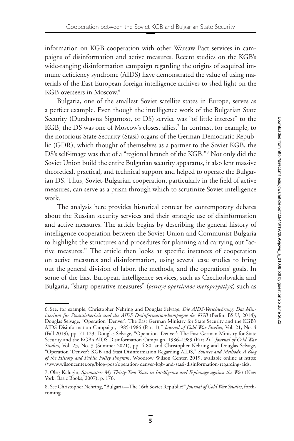information on KGB cooperation with other Warsaw Pact services in campaigns of disinformation and active measures. Recent studies on the KGB's wide-ranging disinformation campaign regarding the origins of acquired immune deficiency syndrome (AIDS) have demonstrated the value of using materials of the East European foreign intelligence archives to shed light on the KGB overseers in Moscow.<sup>6</sup>

Bulgaria, one of the smallest Soviet satellite states in Europe, serves as a perfect example. Even though the intelligence work of the Bulgarian State Security (Durzhavna Sigurnost, or DS) service was "of little interest" to the KGB, the DS was one of Moscow's closest allies.<sup>7</sup> In contrast, for example, to the notorious State Security (Stasi) organs of the German Democratic Republic (GDR), which thought of themselves as a partner to the Soviet KGB, the DS's self-image was that of a "regional branch of the KGB.["8](#page-2-2) Not only did the Soviet Union build the entire Bulgarian security apparatus, it also lent massive theoretical, practical, and technical support and helped to operate the Bulgarian DS. Thus, Soviet-Bulgarian cooperation, particularly in the field of active measures, can serve as a prism through which to scrutinize Soviet intelligence work.

The analysis here provides historical context for contemporary debates about the Russian security services and their strategic use of disinformation and active measures. The article begins by describing the general history of intelligence cooperation between the Soviet Union and Communist Bulgaria to highlight the structures and procedures for planning and carrying out "active measures." The article then looks at specific instances of cooperation on active measures and disinformation, using several case studies to bring out the general division of labor, the methods, and the operations' goals. In some of the East European intelligence services, such as Czechoslovakia and Bulgaria, "sharp operative measures" (*ostroye opertivnoe meropriyatiya*) such as

<span id="page-2-0"></span><sup>6.</sup> See, for example, Christopher Nehring and Douglas Selvage, *Die AIDS-Verschwörung: Das Ministerium für Staatssicherheit und die AIDS Desinformationskampagne des KGB* (Berlin: BStU, 2014); Douglas Selvage, "Operation 'Denver': The East German Ministry for State Security and the KGB's AIDS Disinformation Campaign, 1985-1986 (Part 1)," *Journal of Cold War Studies*, Vol. 21, No. 4 (Fall 2019), pp. 71-123; Douglas Selvage, "Operation 'Denver': The East German Ministry for State Security and the KGB's AIDS Disinformation Campaign, 1986–1989 (Part 2)," *Journal of Cold War Studies*, Vol. 23, No. 3 (Summer 2021), pp. 4-80; and Christopher Nehring and Douglas Selvage, "Operation 'Denver': KGB and Stasi Disinformation Regarding AIDS," *Sources and Methods: A Blog of the History and Public Policy Program*, Woodrow Wilson Center, 2019, available online at https: [//www.wilsoncenter.org/blog-post/operation-denver-kgb-and-stasi-disinformation-regarding-aids.](https://www.wilsoncenter.org/blog-post/operation-denver-kgb-and-stasi-disinformation-regarding-aids)

<span id="page-2-1"></span><sup>7.</sup> Oleg Kalugin, *Spymaster: My Thirty-Two Years in Intelligence and Espionage against the West* (New York: Basic Books, 2007), p. 176.

<span id="page-2-2"></span><sup>8.</sup> See Christopher Nehring, "Bulgaria—The 16th Soviet Republic?" *Journal of Cold War Studies*, forthcoming.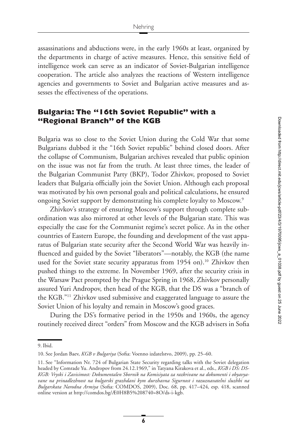assassinations and abductions were, in the early 1960s at least, organized by the departments in charge of active measures. Hence, this sensitive field of intelligence work can serve as an indicator of Soviet-Bulgarian intelligence cooperation. The article also analyzes the reactions of Western intelligence agencies and governments to Soviet and Bulgarian active measures and assesses the effectiveness of the operations.

### **Bulgaria: The "16th Soviet Republic" with a "Regional Branch" of the KGB**

Bulgaria was so close to the Soviet Union during the Cold War that some Bulgarians dubbed it the "16th Soviet republic" behind closed doors. After the collapse of Communism, Bulgarian archives revealed that public opinion on the issue was not far from the truth. At least three times, the leader of the Bulgarian Communist Party (BKP), Todor Zhivkov, proposed to Soviet leaders that Bulgaria officially join the Soviet Union. Although each proposal was motivated by his own personal goals and political calculations, he ensured ongoing Soviet support by demonstrating his complete loyalty to Moscow[.9](#page-3-0)

Zhivkov's strategy of ensuring Moscow's support through complete subordination was also mirrored at other levels of the Bulgarian state. This was especially the case for the Communist regime's secret police. As in the other countries of Eastern Europe, the founding and development of the vast apparatus of Bulgarian state security after the Second World War was heavily influenced and guided by the Soviet "liberators"—notably, the KGB (the name used for the Soviet state security apparatus from 1954 on).<sup>10</sup> Zhivkov then pushed things to the extreme. In November 1969, after the security crisis in the Warsaw Pact prompted by the Prague Spring in 1968, Zhivkov personally assured Yuri Andropov, then head of the KGB, that the DS was a "branch of the KGB.["11](#page-3-2) Zhivkov used submissive and exaggerated language to assure the Soviet Union of his loyalty and remain in Moscow's good graces.

During the DS's formative period in the 1950s and 1960s, the agency routinely received direct "orders" from Moscow and the KGB advisers in Sofia

<span id="page-3-0"></span><sup>9.</sup> Ibid.

<span id="page-3-1"></span><sup>10.</sup> See Jordan Baev, *KGB v Bulgariya* (Sofia: Voenno izdatelstvo, 2009), pp. 25–60.

<span id="page-3-2"></span><sup>11.</sup> See "Information Nr. 724 of Bulgarian State Security regarding talks with the Soviet delegation headed by Comrade Yu. Andropov from 24.12.1969," in Tatyana Kirakova et al., eds., *KGB i DS: DS-KGB: Vryski i Zavisimost: Dokumentalen Sbornik na Komisiyata za razkrivane na dokumenti i obyavyavane na prinadlezhnost na bulgarski grazhdani kym durzhavna Sigurnost i razuznavatelni sluzhbi na Bulgarskata Narodna Armiya* (Sofia: COMDOS, 2009), Doc. 68, pp. 417–424, esp. 418, scanned online version at [http://comdos.bg/Æ0H8B5%208740=8O/ds-i-kgb.](http://comdos.bg/000000%200000000/ds-i-kgb)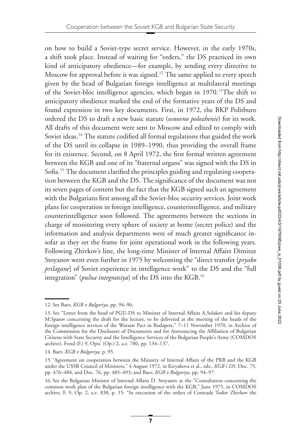on how to build a Soviet-type secret service. However, in the early 1970s, a shift took place. Instead of waiting for "orders," the DS practiced its own kind of anticipatory obedience—for example, by sending every directive to Moscow for approval before it was signed.<sup>12</sup> The same applied to every speech given by the head of Bulgarian foreign intelligence at multilateral meetings of the Soviet-bloc intelligence agencies, which began in 1970.<sup>13</sup>The shift to anticipatory obedience marked the end of the formative years of the DS and found expression in two key documents. First, in 1972, the BKP Politburo ordered the DS to draft a new basic statute (*osnovno polozhenie*) for its work. All drafts of this document were sent to Moscow and edited to comply with Soviet ideas.<sup>14</sup> The statute codified all formal regulations that guided the work of the DS until its collapse in 1989–1990, thus providing the overall frame for its existence. Second, on 8 April 1972, the first formal written agreement between the KGB and one of its "fraternal organs" was signed with the DS in Sofia[.15](#page-4-3) The document clarified the principles guiding and regulating cooperation between the KGB and the DS. The significance of the document was not its seven pages of content but the fact that the KGB signed such an agreement with the Bulgarians first among all the Soviet-bloc security services. Joint work plans for cooperation in foreign intelligence, counterintelligence, and military counterintelligence soon followed. The agreements between the sections in charge of monitoring every sphere of society at home (secret police) and the information and analysis departments were of much greater significance insofar as they set the frame for joint operational work in the following years. Following Zhivkov's line, the long-time Minister of Internal Affairs Dimitur Stoyanov went even further in 1975 by welcoming the "direct transfer [*pryako prilagane*] of Soviet experience in intelligence work" to the DS and the "full integration" (*pulna integratsiya*) of the DS into the KGB[.16](#page-4-4)

<span id="page-4-1"></span><span id="page-4-0"></span><sup>12.</sup> See Baev, *KGB v Bulgariya*, pp. 94–96.

<sup>13.</sup> See "Letter from the head of PGU-DS to Minister of Internal Affairs A.Solakov and his deputy M.Spasov concerning the draft for the lecture, to be delivered at the meeting of the heads of the foreign intelligence services of the Warsaw Pact in Budapest," 7–11 November 1970, in Archive of the Commission for the Disclosure of Documents and for Announcing the Affiliation of Bulgarian Citizens with State Security and the Intelligence Services of the Bulgarian People's Army (COMDOS archive), Fond (F.) 9, Opis' (Op.) 2, a.e. 780, pp. 134–137.

<span id="page-4-2"></span><sup>14.</sup> Baev, *KGB v Bulgariya*, p. 95.

<span id="page-4-3"></span><sup>15. &</sup>quot;Agreement on cooperation between the Ministry of Internal Affairs of the PRB and the KGB under the USSR Council of Ministers," 4 August 1972, in Kiryakova et al., eds., *KGB i DS,* Doc. 75, pp. 476–484, and Doc. 76, pp. 485–493; and Baev, *KGB v Bulgariya*, pp. 94–97.

<span id="page-4-4"></span><sup>16.</sup> See the Bulgarian Minister of Internal Affairs D. Stoyanov at the "Consultation concerning the common work plan of the Bulgarian foreign intelligence with the KGB," June 1975, in COMDOS archive, F. 9, Op. 2, a.e. 838, p. 15: "In execution of the orders of Comrade Todor Zhivkov the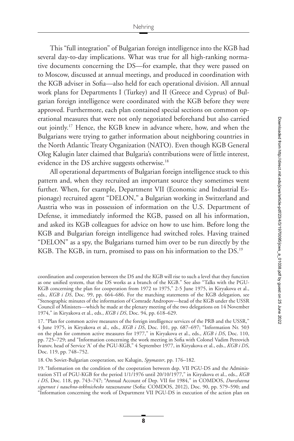This "full integration" of Bulgarian foreign intelligence into the KGB had several day-to-day implications. What was true for all high-ranking normative documents concerning the DS—for example, that they were passed on to Moscow, discussed at annual meetings, and produced in coordination with the KGB adviser in Sofia—also held for each operational division. All annual work plans for Departments I (Turkey) and II (Greece and Cyprus) of Bulgarian foreign intelligence were coordinated with the KGB before they were approved. Furthermore, each plan contained special sections on common operational measures that were not only negotiated beforehand but also carried out jointly[.17](#page-5-0) Hence, the KGB knew in advance where, how, and when the Bulgarians were trying to gather information about neighboring countries in the North Atlantic Treaty Organization (NATO). Even though KGB General Oleg Kalugin later claimed that Bulgaria's contributions were of little interest, evidence in the DS archive suggests otherwise.<sup>18</sup>

All operational departments of Bulgarian foreign intelligence stuck to this pattern and, when they recruited an important source they sometimes went further. When, for example, Department VII (Economic and Industrial Espionage) recruited agent "DELON," a Bulgarian working in Switzerland and Austria who was in possession of information on the U.S. Department of Defense, it immediately informed the KGB, passed on all his information, and asked its KGB colleagues for advice on how to use him. Before long the KGB and Bulgarian foreign intelligence had switched roles. Having trained "DELON" as a spy, the Bulgarians turned him over to be run directly by the KGB. The KGB, in turn, promised to pass on his information to the DS.<sup>19</sup>

<span id="page-5-1"></span>18. On Soviet-Bulgarian cooperation, see Kalugin, *Spymaster*, pp. 176–182.

coordination and cooperation between the DS and the KGB will rise to such a level that they function as one unified system, that the DS works as a branch of the KGB." See also "Talks with the PGU-KGB concerning the plan for cooperation from 1972 to 1975," 2-5 June 1975, in Kiryakova et al., eds., *KGB i DS*, Doc. 99, pp. 664–686. For the matching statements of the KGB delegation, see "Stenographic minutes of the information of Comrade Andropov—head of the KGB under the USSR Council of Ministers—which he made at the plenary meeting of the two delegations on 14 November 1974," in Kiryakova et al., eds., *KGB i DS*, Doc. 94, pp. 618–629.

<span id="page-5-0"></span><sup>17. &</sup>quot;Plan for common active measures of the foreign intelligence services of the PRB and the USSR," 4 June 1975, in Kiryakova et al., eds., *KGB i DS*, Doc. 101, pp. 687–697; "Information Nr. 503 on the plan for common active measures for 1977," in Kiryakova et al., eds., *KGB i DS*, Doc. 110, pp. 725–729; and "Information concerning the work meeting in Sofia with Colonel Vadim Petrovich Ivanov, head of Service 'A' of the PGU-KGB," 4 September 1977, in Kiryakova et al., eds., *KGB i DS*, Doc. 119, pp. 748–752.

<span id="page-5-2"></span><sup>19. &</sup>quot;Information on the condition of the cooperation between dep. VII PGU-DS and the Administration STI of PGU-KGB for the period 1/1/1976 until 20/10/1977," in Kiryakova et al., eds., *KGB i DS*, Doc. 118, pp. 743–747; "Annual Account of Dep. VII for 1984," in COMDOS, *Durzhavna sigurnost i nauchno-tekhnichesko razuznavane* (Sofia: COMDOS, 2012), Doc. 90, pp. 579–590; and "Information concerning the work of Department VII PGU-DS in execution of the action plan on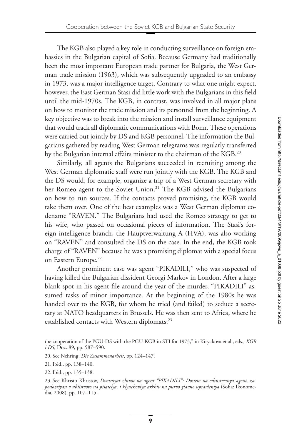The KGB also played a key role in conducting surveillance on foreign embassies in the Bulgarian capital of Sofia. Because Germany had traditionally been the most important European trade partner for Bulgaria, the West German trade mission (1963), which was subsequently upgraded to an embassy in 1973, was a major intelligence target. Contrary to what one might expect, however, the East German Stasi did little work with the Bulgarians in this field until the mid-1970s. The KGB, in contrast, was involved in all major plans on how to monitor the trade mission and its personnel from the beginning. A key objective was to break into the mission and install surveillance equipment that would track all diplomatic communications with Bonn. These operations were carried out jointly by DS and KGB personnel. The information the Bulgarians gathered by reading West German telegrams was regularly transferred by the Bulgarian internal affairs minister to the chairman of the KGB.<sup>20</sup>

Similarly, all agents the Bulgarians succeeded in recruiting among the West German diplomatic staff were run jointly with the KGB. The KGB and the DS would, for example, organize a trip of a West German secretary with her Romeo agent to the Soviet Union.<sup>21</sup> The KGB advised the Bulgarians on how to run sources. If the contacts proved promising, the KGB would take them over. One of the best examples was a West German diplomat codename "RAVEN." The Bulgarians had used the Romeo strategy to get to his wife, who passed on occasional pieces of information. The Stasi's foreign intelligence branch, the Hauptverwaltung A (HVA), was also working on "RAVEN" and consulted the DS on the case. In the end, the KGB took charge of "RAVEN" because he was a promising diplomat with a special focus on Eastern Europe.<sup>22</sup>

Another prominent case was agent "PIKADILI," who was suspected of having killed the Bulgarian dissident Georgi Markov in London. After a large blank spot in his agent file around the year of the murder, "PIKADILI" assumed tasks of minor importance. At the beginning of the 1980s he was handed over to the KGB, for whom he tried (and failed) to seduce a secretary at NATO headquarters in Brussels. He was then sent to Africa, where he established contacts with Western diplomats.<sup>23</sup>

the cooperation of the PGU-DS with the PGU-KGB in STI for 1973," in Kiryakova et al., eds., *KGB i DS*, Doc. 89, pp. 587–590.

<span id="page-6-0"></span><sup>20.</sup> See Nehring, *Die Zusammenarbeit*, pp. 124–147.

<span id="page-6-1"></span><sup>21.</sup> Ibid., pp. 138–140.

<span id="page-6-2"></span><sup>22.</sup> Ibid., pp. 135–138.

<span id="page-6-3"></span><sup>23.</sup> See Khristo Khristov, *Dvoiniyat zhivot na agent "PIKADILI": Dosieto na edinstveniya agent, zapodozriyan v ubiistvoto na pisatelya, i klyuchoviya arkhiv na purvo glavno upravleniya* (Sofia: Ikonomedia, 2008), pp. 107–115.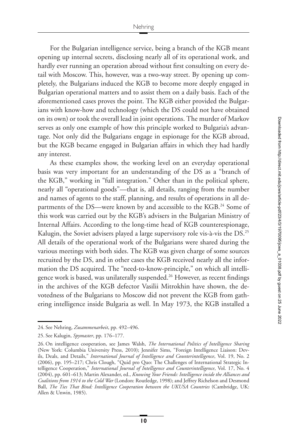For the Bulgarian intelligence service, being a branch of the KGB meant opening up internal secrets, disclosing nearly all of its operational work, and hardly ever running an operation abroad without first consulting on every detail with Moscow. This, however, was a two-way street. By opening up completely, the Bulgarians induced the KGB to become more deeply engaged in Bulgarian operational matters and to assist them on a daily basis. Each of the aforementioned cases proves the point. The KGB either provided the Bulgarians with know-how and technology (which the DS could not have obtained on its own) or took the overall lead in joint operations. The murder of Markov serves as only one example of how this principle worked to Bulgaria's advantage. Not only did the Bulgarians engage in espionage for the KGB abroad, but the KGB became engaged in Bulgarian affairs in which they had hardly any interest.

As these examples show, the working level on an everyday operational basis was very important for an understanding of the DS as a "branch of the KGB," working in "full integration." Other than in the political sphere, nearly all "operational goods"—that is, all details, ranging from the number and names of agents to the staff, planning, and results of operations in all departments of the DS—were known by and accessible to the KGB.<sup>24</sup> Some of this work was carried out by the KGB's advisers in the Bulgarian Ministry of Internal Affairs. According to the long-time head of KGB counterespionage, Kalugin, the Soviet advisers played a large supervisory role vis-à-vis the DS.<sup>25</sup> All details of the operational work of the Bulgarians were shared during the various meetings with both sides. The KGB was given charge of some sources recruited by the DS, and in other cases the KGB received nearly all the information the DS acquired. The "need-to-know-principle," on which all intelligence work is based, was unilaterally suspended.<sup>26</sup> However, as recent findings in the archives of the KGB defector Vasilii Mitrokhin have shown, the devotedness of the Bulgarians to Moscow did not prevent the KGB from gathering intelligence inside Bulgaria as well. In May 1973, the KGB installed a

<span id="page-7-0"></span><sup>24.</sup> See Nehring, *Zusammenarbeit*, pp. 492–496.

<span id="page-7-1"></span><sup>25.</sup> See Kalugin, *Spymaster*, pp. 176–177.

<span id="page-7-2"></span><sup>26.</sup> On intelligence cooperation, see James Walsh, *The International Politics of Intelligence Sharing* (New York: Columbia University Press, 2010); Jennifer Sims, "Foreign Intelligence Liaison: Devils, Deals, and Details," *International Journal of Intelligence and Counterintelligence*, Vol. 19, No. 2 (2006), pp. 195–217; Chris Clough, "Quid pro Quo: The Challenges of International Strategic Intelligence Cooperation," *International Journal of Intelligence and Counterintelligence*, Vol. 17, No. 4 (2004), pp. 601–613; Martin Alexander, ed., *Knowing Your Friends: Intelligence inside the Alliances and Coalitions from 1914 to the Cold War* (London: Routledge, 1998); and Jeffrey Richelson and Desmond Ball, *The Ties That Bind: Intelligence Cooperation between the UKUSA Countries* (Cambridge, UK: Allen & Unwin, 1985).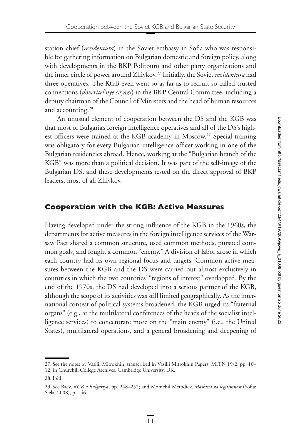station chief (*rezidentura*) in the Soviet embassy in Sofia who was responsible for gathering information on Bulgarian domestic and foreign policy, along with developments in the BKP Politburo and other party organizations and the inner circle of power around Zhivkov[.27](#page-8-0) Initially, the Soviet *rezidentura* had three operatives. The KGB even went so as far as to recruit so-called trusted connections (*doveritel'nye svyazi*) in the BKP Central Committee, including a deputy chairman of the Council of Ministers and the head of human resources and accounting.<sup>28</sup>

An unusual element of cooperation between the DS and the KGB was that most of Bulgaria's foreign intelligence operatives and all of the DS's highest officers were trained at the KGB academy in Moscow.<sup>29</sup> Special training was obligatory for every Bulgarian intelligence officer working in one of the Bulgarian residencies abroad. Hence, working at the "Bulgarian branch of the KGB" was more than a political decision. It was part of the self-image of the Bulgarian DS, and these developments rested on the direct approval of BKP leaders, most of all Zhivkov.

## **Cooperation with the KGB: Active Measures**

Having developed under the strong influence of the KGB in the 1960s, the departments for active measures in the foreign intelligence services of the Warsaw Pact shared a common structure, used common methods, pursued common goals, and fought a common "enemy." A division of labor arose in which each country had its own regional focus and targets. Common active measures between the KGB and the DS were carried out almost exclusively in countries in which the two countries' "regions of interest" overlapped. By the end of the 1970s, the DS had developed into a serious partner of the KGB, although the scope of its activities was still limited geographically. As the international contest of political systems broadened, the KGB urged its "fraternal organs" (e.g., at the multilateral conferences of the heads of the socialist intelligence services) to concentrate more on the "main enemy" (i.e., the United States), multilateral operations, and a general broadening and deepening of

<span id="page-8-0"></span><sup>27.</sup> See the notes by Vasilii Mitrokhin, transcribed in Vasilii Mitrokhin Papers, MITN 19-2, pp. 10– 12, in Churchill College Archives, Cambridge University, UK.

<span id="page-8-1"></span><sup>28.</sup> Ibid.

<span id="page-8-2"></span><sup>29.</sup> See Baev, *KGB v Bulgariya*, pp. 248–252; and Momchil Metodiev, *Mashina za legitimnost* (Sofia: Siela, 2008), p. 146.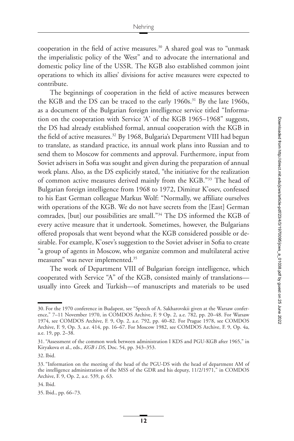cooperation in the field of active measures.<sup>30</sup> A shared goal was to "unmask the imperialistic policy of the West" and to advocate the international and domestic policy line of the USSR. The KGB also established common joint operations to which its allies' divisions for active measures were expected to contribute.

The beginnings of cooperation in the field of active measures between the KGB and the DS can be traced to the early 1960s.<sup>31</sup> By the late 1960s, as a document of the Bulgarian foreign intelligence service titled "Information on the cooperation with Service 'A' of the KGB 1965–1968" suggests, the DS had already established formal, annual cooperation with the KGB in the field of active measures.<sup>32</sup> By 1968, Bulgaria's Department VIII had begun to translate, as standard practice, its annual work plans into Russian and to send them to Moscow for comments and approval. Furthermore, input from Soviet advisers in Sofia was sought and given during the preparation of annual work plans. Also, as the DS explicitly stated, "the initiative for the realization of common active measures derived mainly from the KGB.["33](#page-9-3) The head of Bulgarian foreign intelligence from 1968 to 1972, Dimitur K'osev, confessed to his East German colleague Markus Wolf: "Normally, we affiliate ourselves with operations of the KGB. We do not have secrets from the [East] German comrades, [but] our possibilities are small.["34](#page-9-4) The DS informed the KGB of every active measure that it undertook. Sometimes, however, the Bulgarians offered proposals that went beyond what the KGB considered possible or desirable. For example, K'osev's suggestion to the Soviet adviser in Sofia to create "a group of agents in Moscow, who organize common and multilateral active measures" was never implemented[.35](#page-9-5)

The work of Department VIII of Bulgarian foreign intelligence, which cooperated with Service "A" of the KGB, consisted mainly of translations usually into Greek and Turkish—of manuscripts and materials to be used

<span id="page-9-0"></span><sup>30.</sup> For the 1970 conference in Budapest, see "Speech of A. Sakharovskii given at the Warsaw conference," 7–11 November 1970, in COMDOS Archive, F. 9 Op. 2, a.e. 782, pp. 20–48. For Warsaw 1974, see COMDOS Archive, F. 9, Op. 2, a.e. 792, pp. 40–82. For Prague 1978, see COMDOS Archive, F. 9, Op. 3, a.e. 414, pp. 16–67. For Moscow 1982, see COMDOS Archive, F. 9, Op. 4a, a.e. 19, pp. 2–38.

<span id="page-9-1"></span><sup>31. &</sup>quot;Assessment of the common work between administration I KDS and PGU-KGB after 1965," in Kiryakova et al., eds., *KGB i DS*, Doc. 54, pp. 343–353.

<span id="page-9-2"></span><sup>32.</sup> Ibid.

<span id="page-9-3"></span><sup>33. &</sup>quot;Information on the meeting of the head of the PGU-DS with the head of department AM of the intelligence administration of the MSS of the GDR and his deputy, 11/2/1971," in COMDOS Archive, F. 9, Op. 2, a.e. 539, p. 63.

<span id="page-9-4"></span><sup>34.</sup> Ibid.

<span id="page-9-5"></span><sup>35.</sup> Ibid., pp. 66–73.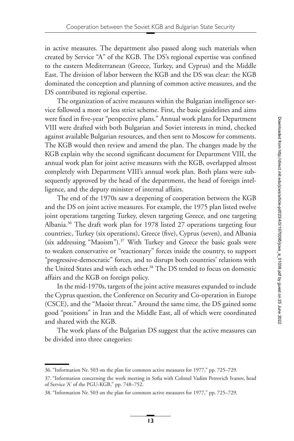in active measures. The department also passed along such materials when created by Service "A" of the KGB. The DS's regional expertise was confined to the eastern Mediterranean (Greece, Turkey, and Cyprus) and the Middle East. The division of labor between the KGB and the DS was clear: the KGB dominated the conception and planning of common active measures, and the DS contributed its regional expertise.

The organization of active measures within the Bulgarian intelligence service followed a more or less strict scheme. First, the basic guidelines and aims were fixed in five-year "perspective plans." Annual work plans for Department VIII were drafted with both Bulgarian and Soviet interests in mind, checked against available Bulgarian resources, and then sent to Moscow for comments. The KGB would then review and amend the plan. The changes made by the KGB explain why the second significant document for Department VIII, the annual work plan for joint active measures with the KGB, overlapped almost completely with Department VIII's annual work plan. Both plans were subsequently approved by the head of the department, the head of foreign intelligence, and the deputy minister of internal affairs.

The end of the 1970s saw a deepening of cooperation between the KGB and the DS on joint active measures. For example, the 1975 plan listed twelve joint operations targeting Turkey, eleven targeting Greece, and one targeting Albania[.36](#page-10-0) The draft work plan for 1978 listed 27 operations targeting four countries:, Turkey (six operations), Greece (five), Cyprus (seven), and Albania (six addressing "Maoism").<sup>37</sup> With Turkey and Greece the basic goals were to weaken conservative or "reactionary" forces inside the country, to support "progressive-democratic" forces, and to disrupt both countries' relations with the United States and with each other.<sup>38</sup> The DS tended to focus on domestic affairs and the KGB on foreign policy.

In the mid-1970s, targets of the joint active measures expanded to include the Cyprus question, the Conference on Security and Co-operation in Europe (CSCE), and the "Maoist threat." Around the same time, the DS gained some good "positions" in Iran and the Middle East, all of which were coordinated and shared with the KGB.

The work plans of the Bulgarian DS suggest that the active measures can be divided into three categories:

<span id="page-10-0"></span><sup>36. &</sup>quot;Information Nr. 503 on the plan for common active measures for 1977," pp. 725–729.

<span id="page-10-1"></span><sup>37. &</sup>quot;Information concerning the work meeting in Sofia with Colonel Vadim Petrovich Ivanov, head of Service 'A' of the PGU-KGB," pp. 748–752.

<span id="page-10-2"></span><sup>38. &</sup>quot;Information Nr. 503 on the plan for common active measures for 1977," pp. 725–729.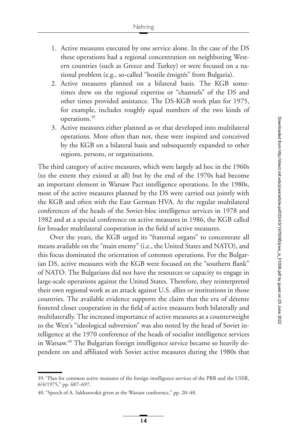- 1. Active measures executed by one service alone. In the case of the DS these operations had a regional concentration on neighboring Western countries (such as Greece and Turkey) or were focused on a national problem (e.g., so-called "hostile émigrés" from Bulgaria).
- 2. Active measures planned on a bilateral basis. The KGB sometimes drew on the regional expertise or "channels" of the DS and other times provided assistance. The DS-KGB work plan for 1975, for example, includes roughly equal numbers of the two kinds of operations[.39](#page-11-0)
- 3. Active measures either planned as or that developed into multilateral operations. More often than not, these were inspired and conceived by the KGB on a bilateral basis and subsequently expanded to other regions, persons, or organizations.

The third category of active measures, which were largely ad hoc in the 1960s (to the extent they existed at all) but by the end of the 1970s had become an important element in Warsaw Pact intelligence operations. In the 1980s, most of the active measures planned by the DS were carried out jointly with the KGB and often with the East German HVA. At the regular multilateral conferences of the heads of the Soviet-bloc intelligence services in 1978 and 1982 and at a special conference on active measures in 1986, the KGB called for broader multilateral cooperation in the field of active measures.

Over the years, the KGB urged its "fraternal organs" to concentrate all means available on the "main enemy" (i.e., the United States and NATO), and this focus dominated the orientation of common operations. For the Bulgarian DS, active measures with the KGB were focused on the "southern flank" of NATO. The Bulgarians did not have the resources or capacity to engage in large-scale operations against the United States. Therefore, they reinterpreted their own regional work as an attack against U.S. allies or institutions in those countries. The available evidence supports the claim that the era of détente fostered closer cooperation in the field of active measures both bilaterally and multilaterally. The increased importance of active measures as a counterweight to the West's "ideological subversion" was also noted by the head of Soviet intelligence at the 1970 conference of the heads of socialist intelligence services in Warsaw.<sup>40</sup> The Bulgarian foreign intelligence service became so heavily dependent on and affiliated with Soviet active measures during the 1980s that

<span id="page-11-0"></span><sup>39. &</sup>quot;Plan for common active measures of the foreign intelligence services of the PRB and the USSR, 6/4/1975," pp. 687–697.

<span id="page-11-1"></span><sup>40. &</sup>quot;Speech of A. Sakharovskii given at the Warsaw conference," pp. 20–48.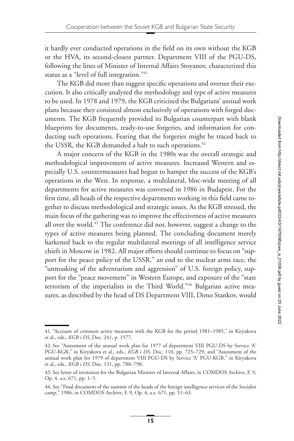it hardly ever conducted operations in the field on its own without the KGB or the HVA, its second-closest partner. Department VIII of the PGU-DS, following the lines of Minister of Internal Affairs Stoyanov, characterized this status as a "level of full integration."<sup>41</sup>

The KGB did more than suggest specific operations and oversee their execution. It also critically analyzed the methodology and type of active measures to be used. In 1978 and 1979, the KGB criticized the Bulgarians' annual work plans because they consisted almost exclusively of operations with forged documents. The KGB frequently provided its Bulgarian counterpart with blank blueprints for documents, ready-to-use forgeries, and information for conducting such operations. Fearing that the forgeries might be traced back to the USSR, the KGB demanded a halt to such operations.<sup>42</sup>

A major concern of the KGB in the 1980s was the overall strategic and methodological improvement of active measures. Increased Western and especially U.S. countermeasures had begun to hamper the success of the KGB's operations in the West. In response, a multilateral, bloc-wide meeting of all departments for active measures was convened in 1986 in Budapest. For the first time, all heads of the respective departments working in this field came together to discuss methodological and strategic issues. As the KGB stressed, the main focus of the gathering was to improve the effectiveness of active measures all over the world.<sup>43</sup> The conference did not, however, suggest a change to the types of active measures being planned. The concluding document merely harkened back to the regular multilateral meetings of all intelligence service chiefs in Moscow in 1982. All major efforts should continue to focus on "support for the peace policy of the USSR," an end to the nuclear arms race, the "unmasking of the adventurism and aggression" of U.S. foreign policy, support for the "peace movement" in Western Europe, and exposure of the "state terrorism of the imperialists in the Third World."<sup>44</sup> Bulgarian active measures, as described by the head of DS Department VIII, Dimo Stankov, would

<span id="page-12-0"></span><sup>41. &</sup>quot;Account of common active measures with the KGB for the period 1981–1985," in Kiryakova et al., eds., *KGB i DS*, Doc. 241, p. 1577.

<span id="page-12-1"></span><sup>42.</sup> See "Assessment of the annual work plan for 1977 of department VIII PGU-DS by Service 'A' PGU-KGB," in Kiryakova et al., eds., *KGB i DS*, Doc. 110, pp. 725-729; and "Assessment of the annual work plan for 1979 of department VIII PGU-DS by Service 'A' PGU-KGB," in Kiryakova et al., eds., *KGB i DS*, Doc. 131, pp. 788–790.

<span id="page-12-2"></span><sup>43.</sup> See letter of invitation for the Bulgarian Minister of Internal Affairs, in COMDOS Archive, F. 9, Op. 4, a.e. 671, pp. 1–5.

<span id="page-12-3"></span><sup>44.</sup> See "Final document of the summit of the heads of the foreign intelligence services of the Socialist camp," 1986, in COMDOS Archive, F. 9, Op. 4, a.e. 671, pp. 51–63.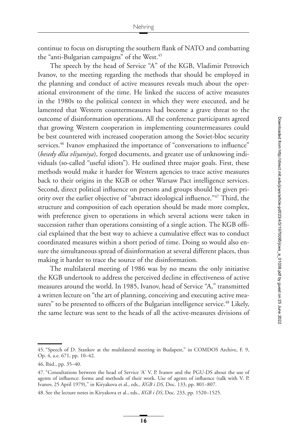continue to focus on disrupting the southern flank of NATO and combatting the "anti-Bulgarian campaigns" of the West.<sup>45</sup>

The speech by the head of Service "A" of the KGB, Vladimir Petrovich Ivanov, to the meeting regarding the methods that should be employed in the planning and conduct of active measures reveals much about the operational environment of the time. He linked the success of active measures in the 1980s to the political context in which they were executed, and he lamented that Western countermeasures had become a grave threat to the outcome of disinformation operations. All the conference participants agreed that growing Western cooperation in implementing countermeasures could be best countered with increased cooperation among the Soviet-bloc security services.<sup>46</sup> Ivanov emphasized the importance of "conversations to influence" (*besedy dlia vliyaniya*), forged documents, and greater use of unknowing individuals (so-called "useful idiots"). He outlined three major goals. First, these methods would make it harder for Western agencies to trace active measures back to their origins in the KGB or other Warsaw Pact intelligence services. Second, direct political influence on persons and groups should be given priority over the earlier objective of "abstract ideological influence.["47](#page-13-2) Third, the structure and composition of each operation should be made more complex, with preference given to operations in which several actions were taken in succession rather than operations consisting of a single action. The KGB official explained that the best way to achieve a cumulative effect was to conduct coordinated measures within a short period of time. Doing so would also ensure the simultaneous spread of disinformation at several different places, thus making it harder to trace the source of the disinformation.

The multilateral meeting of 1986 was by no means the only initiative the KGB undertook to address the perceived decline in effectiveness of active measures around the world. In 1985, Ivanov, head of Service "A," transmitted a written lecture on "the art of planning, conceiving and executing active measures" to be presented to officers of the Bulgarian intelligence service.<sup>48</sup> Likely, the same lecture was sent to the heads of all the active-measures divisions of

<span id="page-13-3"></span>48. See the lecture notes in Kiryakova et al., eds., *KGB i DS*, Doc. 233, pp. 1520–1525.

<span id="page-13-0"></span><sup>45. &</sup>quot;Speech of D. Stankov at the multilateral meeting in Budapest," in COMDOS Archive, F. 9, Op. 4, a.e. 671, pp. 10–42.

<span id="page-13-1"></span><sup>46.</sup> Ibid., pp. 35–40.

<span id="page-13-2"></span><sup>47. &</sup>quot;Consultations between the head of Service 'A' V. P. Ivanov and the PGU-DS about the use of agents of influence: forms and methods of their work. Use of agents of influence (talk with V. P. Ivanov, 25 April 1979)," in Kiryakova et al., eds., *KGB i DS*, Doc. 133, pp. 801–807.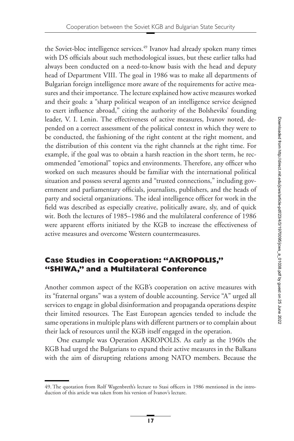the Soviet-bloc intelligence services.<sup>49</sup> Ivanov had already spoken many times with DS officials about such methodological issues, but these earlier talks had always been conducted on a need-to-know basis with the head and deputy head of Department VIII. The goal in 1986 was to make all departments of Bulgarian foreign intelligence more aware of the requirements for active measures and their importance. The lecture explained how active measures worked and their goals: a "sharp political weapon of an intelligence service designed to exert influence abroad," citing the authority of the Bolsheviks' founding leader, V. I. Lenin. The effectiveness of active measures, Ivanov noted, depended on a correct assessment of the political context in which they were to be conducted, the fashioning of the right content at the right moment, and the distribution of this content via the right channels at the right time. For example, if the goal was to obtain a harsh reaction in the short term, he recommended "emotional" topics and environments. Therefore, any officer who worked on such measures should be familiar with the international political situation and possess several agents and "trusted connections," including government and parliamentary officials, journalists, publishers, and the heads of party and societal organizations. The ideal intelligence officer for work in the field was described as especially creative, politically aware, sly, and of quick wit. Both the lectures of 1985–1986 and the multilateral conference of 1986 were apparent efforts initiated by the KGB to increase the effectiveness of active measures and overcome Western countermeasures.

### **Case Studies in Cooperation: "AKROPOLIS," "SHIWA," and a Multilateral Conference**

Another common aspect of the KGB's cooperation on active measures with its "fraternal organs" was a system of double accounting. Service "A" urged all services to engage in global disinformation and propaganda operations despite their limited resources. The East European agencies tended to include the same operations in multiple plans with different partners or to complain about their lack of resources until the KGB itself engaged in the operation.

One example was Operation AKROPOLIS. As early as the 1960s the KGB had urged the Bulgarians to expand their active measures in the Balkans with the aim of disrupting relations among NATO members. Because the

<span id="page-14-0"></span><sup>49.</sup> The quotation from Rolf Wagenbreth's lecture to Stasi officers in 1986 mentioned in the introduction of this article was taken from his version of Ivanov's lecture.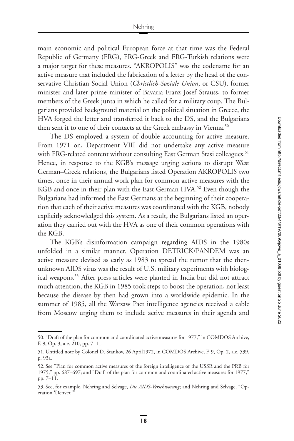main economic and political European force at that time was the Federal Republic of Germany (FRG), FRG-Greek and FRG-Turkish relations were a major target for these measures. "AKROPOLIS" was the codename for an active measure that included the fabrication of a letter by the head of the conservative Christian Social Union (*Christlich-Soziale Union*, or CSU), former minister and later prime minister of Bavaria Franz Josef Strauss, to former members of the Greek junta in which he called for a military coup. The Bulgarians provided background material on the political situation in Greece, the HVA forged the letter and transferred it back to the DS, and the Bulgarians then sent it to one of their contacts at the Greek embassy in Vienna.<sup>50</sup>

The DS employed a system of double accounting for active measure. From 1971 on, Department VIII did not undertake any active measure with FRG-related content without consulting East German Stasi colleagues.<sup>51</sup> Hence, in response to the KGB's message urging actions to disrupt West German–Greek relations, the Bulgarians listed Operation AKROPOLIS two times, once in their annual work plan for common active measures with the KGB and once in their plan with the East German HVA.<sup>52</sup> Even though the Bulgarians had informed the East Germans at the beginning of their cooperation that each of their active measures was coordinated with the KGB, nobody explicitly acknowledged this system. As a result, the Bulgarians listed an operation they carried out with the HVA as one of their common operations with the KGB.

The KGB's disinformation campaign regarding AIDS in the 1980s unfolded in a similar manner. Operation DETRICK/PANDEM was an active measure devised as early as 1983 to spread the rumor that the thenunknown AIDS virus was the result of U.S. military experiments with biological weapons[.53](#page-15-3) After press articles were planted in India but did not attract much attention, the KGB in 1985 took steps to boost the operation, not least because the disease by then had grown into a worldwide epidemic. In the summer of 1985, all the Warsaw Pact intelligence agencies received a cable from Moscow urging them to include active measures in their agenda and

<span id="page-15-0"></span><sup>50. &</sup>quot;Draft of the plan for common and coordinated active measures for 1977," in COMDOS Archive, F. 9, Op. 3, a.e. 210, pp. 7–11.

<span id="page-15-1"></span><sup>51.</sup> Untitled note by Colonel D. Stankov, 26 April1972, in COMDOS Archive, F. 9, Op. 2, a.e. 539, p. 93a.

<span id="page-15-2"></span><sup>52.</sup> See "Plan for common active measures of the foreign intelligence of the USSR and the PRB for 1975," pp. 687–697; and "Draft of the plan for common and coordinated active measures for 1977," pp. 7–11.

<span id="page-15-3"></span><sup>53.</sup> See, for example, Nehring and Selvage, *Die AIDS-Verschwörung*; and Nehring and Selvage, "Operation 'Denver.'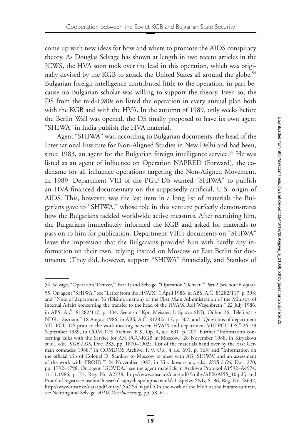come up with new ideas for how and where to promote the AIDS conspiracy theory. As Douglas Selvage has shown at length in two recent articles in the JCWS, the HVA soon took over the lead in this operation, which was originally devised by the KGB to attack the United States all around the globe.<sup>54</sup> Bulgarian foreign intelligence contributed little to the operation, in part because no Bulgarian scholar was willing to support the theory. Even so, the DS from the mid-1980s on listed the operation in every annual plan both with the KGB and with the HVA. In the autumn of 1989, only weeks before the Berlin Wall was opened, the DS finally proposed to have its own agent "SHIWA" in India publish the HVA material.

Agent "SHIWA" was, according to Bulgarian documents, the head of the International Institute for Non-Aligned Studies in New Delhi and had been, since 1983, an agent for the Bulgarian foreign intelligence service.<sup>55</sup> He was listed as an agent of influence on Operation NAPRED (Forward), the codename for all influence operations targeting the Non-Aligned Movement. In 1989, Department VIII of the PGU-DS wanted "SHIWA" to publish an HVA-financed documentary on the supposedly artificial, U.S. origin of AIDS. This, however, was the last item in a long list of materials the Bulgarians gave to "SHIWA," whose role in this venture perfectly demonstrates how the Bulgarians tackled worldwide active measures. After recruiting him, the Bulgarians immediately informed the KGB and asked for materials to pass on to him for publication. Department VIII's documents on "SHIWA" leave the impression that the Bulgarians provided him with hardly any information on their own, relying instead on Moscow or East Berlin for documents. (They did, however, support "SHIWA" financially, and Stankov of

<span id="page-16-1"></span><span id="page-16-0"></span><sup>54.</sup> Selvage, "Operation 'Denver,'" Part 1; and Selvage, "Operation 'Denver,'" Part 2 (see note 6 *supra*). 55. On agent "SHIWA," see "Letter from the HVA/X" 1 April 1986, in ABS, A.C. 81282/117, p. 308; ˇ and "Note of department 36 (Disinformation) of the First Main Administration of the Ministry of Internal Affairs concerning the transfer to the head of the HVA/X Rolf Wagenbreth," 22 July 1986, in ABS, A.Č. 81282/117, p. 304. See also "Kpt. Meisner, I. Správa SNB, Odbor 36, Telefonát z NDR—Seznam," 18 August 1986, in ABS, A.Č. 81282/117, p. 307; and "Questions of department VIII PGU-DS prior to the work meeting between HVA/X and department VIII PGU-DS," 26–29 September 1989, in COMDOS Archive, F. 9, Op. 4, a.e. 691, p. 207. Further "Information concerning talks with the Service for AM PGU-KGB in Moscow," 28 November 1988, in Kiryakova et al., eds., *KGB i DS*, Doc. 283, pp. 1870–1903; "List of the materials hand over by the East German comrades 1988," in COMDOS Archive, F. 9, Op., 4 a.e. 691, p. 163; and "Information on the official trip of Colonel D. Stankov to Moscow to meet with AG 'SHIWA' and an assessment of the work with 'FROID,'" 24 November 1987, in Kiryakova et al., eds., *KGB i DS*, Doc. 270, pp. 1792–1798. On agent "GOVDA," see the agent materials in Archivní Protokol A1592–A4974, 11.11.1986, p. 71, Reg. Nr. A2738, [http://www.abscr.cz/data/pdf//knihy/APIS/APIS\\_10.pdf;](http://www.abscr.cz/data/pdf//knihy/APIS/APIS_10.pdf) and Protokol registrace osobních svazků tajných spolupracovníků I. Správy SNB, S. 96, Reg. Nr. 48637, [http://www.abscr.cz/data/pdf/knihy/IS4/IS4\\_6.pdf.](http://www.abscr.cz/data/pdf/knihy/IS4/IS4_6.pdf) On the work of the HVA at the Harare-summit, see Nehring and Selvage, *AIDS-Verschwoerung*, pp. 58–61.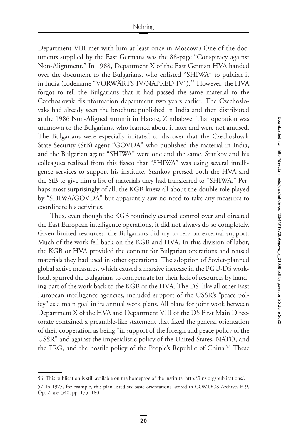Department VIII met with him at least once in Moscow.) One of the documents supplied by the East Germans was the 88-page "Conspiracy against Non-Alignment." In 1988, Department X of the East German HVA handed over the document to the Bulgarians, who enlisted "SHIWA" to publish it in India (codename "VORWÄRTS-IV/NAPRED-IV").<sup>56</sup> However, the HVA forgot to tell the Bulgarians that it had passed the same material to the Czechoslovak disinformation department two years earlier. The Czechoslovaks had already seen the brochure published in India and then distributed at the 1986 Non-Aligned summit in Harare, Zimbabwe. That operation was unknown to the Bulgarians, who learned about it later and were not amused. The Bulgarians were especially irritated to discover that the Czechoslovak State Security (StB) agent "GOVDA" who published the material in India, and the Bulgarian agent "SHIWA" were one and the same. Stankov and his colleagues realized from this fiasco that "SHIWA" was using several intelligence services to support his institute. Stankov pressed both the HVA and the StB to give him a list of materials they had transferred to "SHIWA." Perhaps most surprisingly of all, the KGB knew all about the double role played by "SHIWA/GOVDA" but apparently saw no need to take any measures to coordinate his activities.

Thus, even though the KGB routinely exerted control over and directed the East European intelligence operations, it did not always do so completely. Given limited resources, the Bulgarians did try to rely on external support. Much of the work fell back on the KGB and HVA. In this division of labor, the KGB or HVA provided the content for Bulgarian operations and reused materials they had used in other operations. The adoption of Soviet-planned global active measures, which caused a massive increase in the PGU-DS workload, spurred the Bulgarians to compensate for their lack of resources by handing part of the work back to the KGB or the HVA. The DS, like all other East European intelligence agencies, included support of the USSR's "peace policy" as a main goal in its annual work plans. All plans for joint work between Department X of the HVA and Department VIII of the DS First Main Directorate contained a preamble-like statement that fixed the general orientation of their cooperation as being "in support of the foreign and peace policy of the USSR" and against the imperialistic policy of the United States, NATO, and the FRG, and the hostile policy of the People's Republic of China.<sup>57</sup> These

<span id="page-17-0"></span><sup>56.</sup> This publication is still available on the homepage of the institute: [http://iins.org/publications/.](http://iins.org/publications/)

<span id="page-17-1"></span><sup>57.</sup> In 1975, for example, this plan listed six basic orientations, stored in COMDOS Archive, F. 9, Op. 2, a.e. 540, pp. 175–180.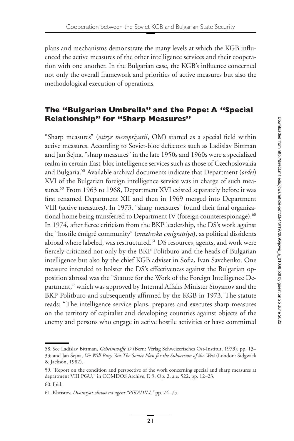plans and mechanisms demonstrate the many levels at which the KGB influenced the active measures of the other intelligence services and their cooperation with one another. In the Bulgarian case, the KGB's influence concerned not only the overall framework and priorities of active measures but also the methodological execution of operations.

## **The "Bulgarian Umbrella" and the Pope: A "Special Relationship" for "Sharp Measures"**

"Sharp measures" (*ostrye meropriyatii*, OM) started as a special field within active measures. According to Soviet-bloc defectors such as Ladislav Bittman and Jan Šejna, "sharp measures" in the late 1950s and 1960s were a specialized realm in certain East-bloc intelligence services such as those of Czechoslovakia and Bulgaria[.58](#page-18-0) Available archival documents indicate that Department (*otdel*) XVI of the Bulgarian foreign intelligence service was in charge of such measures.<sup>59</sup> From 1963 to 1968, Department XVI existed separately before it was first renamed Department XII and then in 1969 merged into Department VIII (active measures). In 1973, "sharp measures" found their final organizational home being transferred to Department IV (foreign counterespionage).<sup>60</sup> In 1974, after fierce criticism from the BKP leadership, the DS's work against the "hostile émigré community" (*vrazheska emigratsiya*), as political dissidents abroad where labeled, was restructured.<sup>61</sup> DS resources, agents, and work were fiercely criticized not only by the BKP Politburo and the heads of Bulgarian intelligence but also by the chief KGB adviser in Sofia, Ivan Savchenko. One measure intended to bolster the DS's effectiveness against the Bulgarian opposition abroad was the "Statute for the Work of the Foreign Intelligence Department," which was approved by Internal Affairs Minister Stoyanov and the BKP Politburo and subsequently affirmed by the KGB in 1973. The statute reads: "The intelligence service plans, prepares and executes sharp measures on the territory of capitalist and developing countries against objects of the enemy and persons who engage in active hostile activities or have committed

<span id="page-18-0"></span><sup>58.</sup> See Ladislav Bittman, *Geheimwaffe D* (Bern: Verlag Schweizerisches Ost-Institut, 1973), pp. 13– 33; and Jan Šejna, *We Will Bury You:The Soviet Plan for the Subversion of the West* (London: Sidgwick & Jackson, 1982).

<span id="page-18-1"></span><sup>59. &</sup>quot;Report on the condition and perspective of the work concerning special and sharp measures at department VIII PGU," in COMDOS Archive, F. 9, Op. 2, a.e. 522, pp. 12–23. 60. Ibid.

<span id="page-18-3"></span><span id="page-18-2"></span><sup>61.</sup> Khristov, *Dvoiniyat zhivot na agent "PIKADILI,"* pp. 74–75.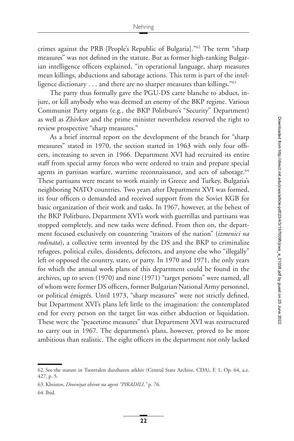crimes against the PRB [People's Republic of Bulgaria].["62](#page-19-0) The term "sharp measures" was not defined in the statute. But as former high-ranking Bulgarian intelligence officers explained, "in operational language, sharp measures mean killings, abductions and sabotage actions. This term is part of the intelligence dictionary . . . and there are no sharper measures than killings."<sup>63</sup>

The party thus formally gave the PGU-DS carte blanche to abduct, injure, or kill anybody who was deemed an enemy of the BKP regime. Various Communist Party organs (e.g., the BKP Politburo's "Security" Department) as well as Zhivkov and the prime minister nevertheless reserved the right to review prospective "sharp measures."

As a brief internal report on the development of the branch for "sharp measures" stated in 1970, the section started in 1963 with only four officers, increasing to seven in 1966. Department XVI had recruited its entire staff from special army forces who were ordered to train and prepare special agents in partisan warfare, wartime reconnaissance, and acts of sabotage.<sup>64</sup> These partisans were meant to work mainly in Greece and Turkey, Bulgaria's neighboring NATO countries. Two years after Department XVI was formed, its four officers o demanded and received support from the Soviet KGB for basic organization of their work and tasks. In 1967, however, at the behest of the BKP Politburo, Department XVI's work with guerrillas and partisans was stopped completely, and new tasks were defined. From then on, the department focused exclusively on countering "traitors of the nation" (*izmenici na rodinata*), a collective term invented by the DS and the BKP to criminalize refugees, political exiles, dissidents, defectors, and anyone else who "illegally" left or opposed the country, state, or party. In 1970 and 1971, the only years for which the annual work plans of this department could be found in the archives, up to seven (1970) and nine (1971) "target persons" were named, all of whom were former DS officers, former Bulgarian National Army personnel, or political émigrés. Until 1973, "sharp measures" were not strictly defined, but Department XVI's plans left little to the imagination: the contemplated end for every person on the target list was either abduction or liquidation. These were the "peacetime measures" that Department XVI was restructured to carry out in 1967. The department's plans, however, proved to be more ambitious than realistic. The eight officers in the department not only lacked

<span id="page-19-0"></span><sup>62.</sup> See the statute in Tsentralen durzhaven arkhiv (Central State Archive, CDA), F. 1, Op. 64, a.e. 427, p. 5.

<span id="page-19-1"></span><sup>63.</sup> Khristov, *Dvoiniyat zhivot na agent "PIKADILI,"* p. 76.

<span id="page-19-2"></span><sup>64.</sup> Ibid.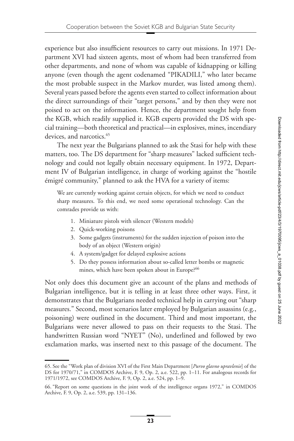experience but also insufficient resources to carry out missions. In 1971 Department XVI had sixteen agents, most of whom had been transferred from other departments, and none of whom was capable of kidnapping or killing anyone (even though the agent codenamed "PIKADILI," who later became the most probable suspect in the Markov murder, was listed among them). Several years passed before the agents even started to collect information about the direct surroundings of their "target persons," and by then they were not poised to act on the information. Hence, the department sought help from the KGB, which readily supplied it. KGB experts provided the DS with special training—both theoretical and practical—in explosives, mines, incendiary devices, and narcotics.<sup>65</sup>

The next year the Bulgarians planned to ask the Stasi for help with these matters, too. The DS department for "sharp measures" lacked sufficient technology and could not legally obtain necessary equipment. In 1972, Department IV of Bulgarian intelligence, in charge of working against the "hostile émigré community," planned to ask the HVA for a variety of items:

We are currently working against certain objects, for which we need to conduct sharp measures. To this end, we need some operational technology. Can the comrades provide us with:

- 1. Miniature pistols with silencer (Western models)
- 2. Quick-working poisons
- 3. Some gadgets (instruments) for the sudden injection of poison into the body of an object (Western origin)
- 4. A system/gadget for delayed explosive actions
- 5. Do they possess information about so-called letter bombs or magnetic mines, which have been spoken about in Europe?<sup>66</sup>

Not only does this document give an account of the plans and methods of Bulgarian intelligence, but it is telling in at least three other ways. First, it demonstrates that the Bulgarians needed technical help in carrying out "sharp measures." Second, most scenarios later employed by Bulgarian assassins (e.g., poisoning) were outlined in the document. Third and most important, the Bulgarians were never allowed to pass on their requests to the Stasi. The handwritten Russian word "NYET" (No), underlined and followed by two exclamation marks, was inserted next to this passage of the document. The

<span id="page-20-0"></span><sup>65.</sup> See the "Work plan of division XVI of the First Main Department [*Purvo glavno upravlenie*] of the DS for 1970/71," in COMDOS Archive, F. 9, Op. 2, a.e. 522, pp. 1-11. For analogous records for 1971/1972, see COMDOS Archive, F. 9, Op. 2, a.e. 524, pp. 1–9.

<span id="page-20-1"></span><sup>66. &</sup>quot;Report on some questions in the joint work of the intelligence organs 1972," in COMDOS Archive, F. 9, Op. 2, a.e. 539, pp. 131–136.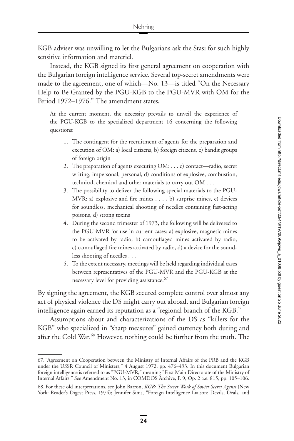KGB adviser was unwilling to let the Bulgarians ask the Stasi for such highly sensitive information and materiel.

Instead, the KGB signed its first general agreement on cooperation with the Bulgarian foreign intelligence service. Several top-secret amendments were made to the agreement, one of which—No. 13—is titled "On the Necessary Help to Be Granted by the PGU-KGB to the PGU-MVR with OM for the Period 1972–1976." The amendment states,

At the current moment, the necessity prevails to unveil the experience of the PGU-KGB to the specialized department 16 concerning the following questions:

- 1. The contingent for the recruitment of agents for the preparation and execution of OM: a) local citizens, b) foreign citizens, c) bandit groups of foreign origin
- 2. The preparation of agents executing OM: . . . c) contact—radio, secret writing, impersonal, personal, d) conditions of explosive, combustion, technical, chemical and other materials to carry out OM . . .
- 3. The possibility to deliver the following special materials to the PGU-MVR: a) explosive and fire mines . . . , b) surprise mines, c) devices for soundless, mechanical shooting of needles containing fast-acting poisons, d) strong toxins
- 4. During the second trimester of 1973, the following will be delivered to the PGU-MVR for use in current cases: a) explosive, magnetic mines to be activated by radio, b) camouflaged mines activated by radio, c) camouflaged fire mines activated by radio, d) a device for the soundless shooting of needles . . .
- 5. To the extent necessary, meetings will be held regarding individual cases between representatives of the PGU-MVR and the PGU-KGB at the necessary level for providing assistance.<sup>67</sup>

By signing the agreement, the KGB secured complete control over almost any act of physical violence the DS might carry out abroad, and Bulgarian foreign intelligence again earned its reputation as a "regional branch of the KGB."

Assumptions about and characterizations of the DS as "killers for the KGB" who specialized in "sharp measures" gained currency both during and after the Cold War.<sup>68</sup> However, nothing could be further from the truth. The

<span id="page-21-0"></span><sup>67. &</sup>quot;Agreement on Cooperation between the Ministry of Internal Affairs of the PRB and the KGB under the USSR Council of Ministers," 4 August 1972, pp. 476–493. In this document Bulgarian foreign intelligence is referred to as "PGU-MVR," meaning <sup>a</sup> First Main Directorate of the Ministry of Internal Affairs." See Amendment No. 13, in COMDOS Archive, F. 9, Op. 2 a.e. 815, pp. 105–106.

<span id="page-21-1"></span><sup>68.</sup> For these old interpretations, see John Barron, *KGB: The Secret Work of Soviet Secret Agents* (New York: Reader's Digest Press, 1974); Jennifer Sims, "Foreign Intelligence Liaison: Devils, Deals, and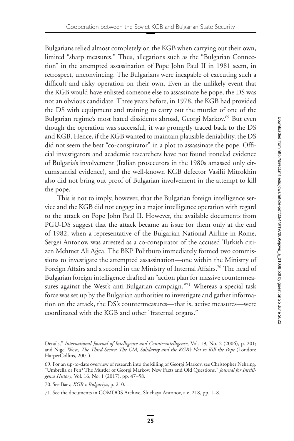Bulgarians relied almost completely on the KGB when carrying out their own, limited "sharp measures." Thus, allegations such as the "Bulgarian Connection" in the attempted assassination of Pope John Paul II in 1981 seem, in retrospect, unconvincing. The Bulgarians were incapable of executing such a difficult and risky operation on their own. Even in the unlikely event that the KGB would have enlisted someone else to assassinate he pope, the DS was not an obvious candidate. Three years before, in 1978, the KGB had provided the DS with equipment and training to carry out the murder of one of the Bulgarian regime's most hated dissidents abroad, Georgi Markov.<sup>69</sup> But even though the operation was successful, it was promptly traced back to the DS and KGB. Hence, if the KGB wanted to maintain plausible deniability, the DS did not seem the best "co-conspirator" in a plot to assassinate the pope. Official investigators and academic researchers have not found ironclad evidence of Bulgaria's involvement (Italian prosecutors in the 1980s amassed only circumstantial evidence), and the well-known KGB defector Vasilii Mitrokhin also did not bring out proof of Bulgarian involvement in the attempt to kill the pope.

This is not to imply, however, that the Bulgarian foreign intelligence service and the KGB did not engage in a major intelligence operation with regard to the attack on Pope John Paul II. However, the available documents from PGU-DS suggest that the attack became an issue for them only at the end of 1982, when a representative of the Bulgarian National Airline in Rome, Sergei Antonov, was arrested as a co-conspirator of the accused Turkish citizen Mehmet Ali Ağca. The BKP Politburo immediately formed two commissions to investigate the attempted assassination—one within the Ministry of Foreign Affairs and a second in the Ministry of Internal Affairs.<sup>70</sup> The head of Bulgarian foreign intelligence drafted an "action plan for massive countermeasures against the West's anti-Bulgarian campaign."<sup>71</sup> Whereas a special task force was set up by the Bulgarian authorities to investigate and gather information on the attack, the DS's countermeasures—that is, active measures—were coordinated with the KGB and other "fraternal organs."

<span id="page-22-1"></span>70. See Baev, *KGB v Bulgariya*, p. 210.

<span id="page-22-2"></span>71. See the documents in COMDOS Archive, Sluchaya Antonov, a.e. 218, pp. 1–8.

Details," *International Journal of Intelligence and Counterintelligence*, Vol. 19, No. 2 (2006), p. 201; and Nigel West, *The Third Secret: The CIA, Solidarity and the KGB's Plot to Kill the Pope* (London: HarperCollins, 2001).

<span id="page-22-0"></span><sup>69.</sup> For an up-to-date overview of research into the killing of Georgi Markov, see Christopher Nehring, "Umbrella or Pen? The Murder of Georgi Markov: New Facts and Old Questions," *Journal for Intelligence History*, Vol. 16, No. 1 (2017), pp. 47–58.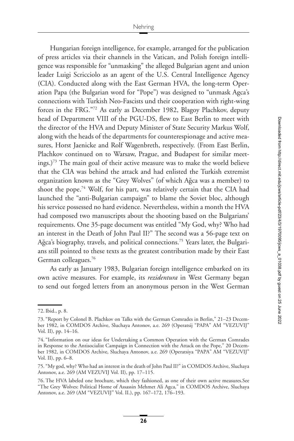Hungarian foreign intelligence, for example, arranged for the publication of press articles via their channels in the Vatican, and Polish foreign intelligence was responsible for "unmasking" the alleged Bulgarian agent and union leader Luigi Scricciolo as an agent of the U.S. Central Intelligence Agency (CIA). Conducted along with the East German HVA, the long-term Operation Papa (the Bulgarian word for "Pope") was designed to "unmask Agca's connections with Turkish Neo-Fascists und their cooperation with right-wing forces in the FRG.["72](#page-23-0) As early as December 1982, Blagoy Plachkov, deputy head of Department VIII of the PGU-DS, flew to East Berlin to meet with the director of the HVA and Deputy Minister of State Security Markus Wolf, along with the heads of the departments for counterespionage and active measures, Horst Jaenicke and Rolf Wagenbreth, respectively. (From East Berlin, Plachkov continued on to Warsaw, Prague, and Budapest for similar meetings.[\)73](#page-23-1) The main goal of their active measure was to make the world believe that the CIA was behind the attack and had enlisted the Turkish extremist organization known as the "Grey Wolves" (of which Agca was a member) to ˘ shoot the pope[.74](#page-23-2) Wolf, for his part, was relatively certain that the CIA had launched the "anti-Bulgarian campaign" to blame the Soviet bloc, although his service possessed no hard evidence. Nevertheless, within a month the HVA had composed two manuscripts about the shooting based on the Bulgarians' requirements. One 35-page document was entitled "My God, why? Who had an interest in the Death of John Paul II?" The second was a 56-page text on Ağca's biography, travels, and political connections.<sup>[75](#page-23-3)</sup> Years later, the Bulgarians still pointed to these texts as the greatest contribution made by their East German colleagues[.76](#page-23-4)

As early as January 1983, Bulgarian foreign intelligence embarked on its own active measures. For example, its *rezidentura* in West Germany began to send out forged letters from an anonymous person in the West German

<span id="page-23-0"></span><sup>72.</sup> Ibid., p. 8.

<span id="page-23-1"></span><sup>73. &</sup>quot;Report by Colonel B. Plachkov on Talks with the German Comrades in Berlin," 21–23 December 1982, in COMDOS Archive, Sluchaya Antonov, a.e. 269 (Operatsij "PAPA" AM "VEZUVIJ" Vol. II), pp. 14–16.

<span id="page-23-2"></span><sup>74. &</sup>quot;Information on our ideas for Undertaking a Common Operation with the German Comrades in Response to the Antisocialist Campaign in Connection with the Attack on the Pope," 20 December 1982, in COMDOS Archive, Sluchaya Antonov, a.e. 269 (Operatsiya "PAPA" AM "VEZUVIJ" Vol. II), pp. 6–8.

<span id="page-23-3"></span><sup>75. &</sup>quot;My god, why? Who had an interest in the death of John Paul II?" in COMDOS Archive, Sluchaya Antonov, a.e. 269 (AM VEZUVIJ Vol. II), pp. 17–115.

<span id="page-23-4"></span><sup>76.</sup> The HVA labeled one brochure, which they fashioned, as one of their own active measures.See "The Grey Wolves: Political Home of Assassin Mehmet Ali Agca," in COMDOS Archive, Sluchaya Antonov, a.e. 269 (AM "VEZUVIJ" Vol. II.), pp. 167–172, 176–193.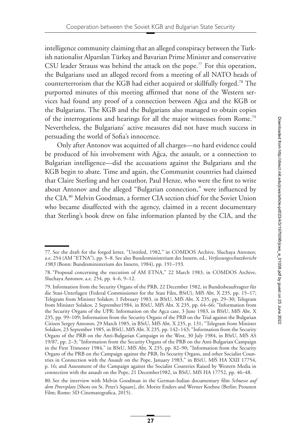intelligence community claiming that an alleged conspiracy between the Turkish nationalist Alparslan Türkeş and Bavarian Prime Minister and conservative CSU leader Strauss was behind the attack on the pope.<sup>77</sup> For this operation, the Bulgarians used an alleged record from a meeting of all NATO heads of counterterrorism that the KGB had either acquired or skillfully forged[.78](#page-24-1) The purported minutes of this meeting affirmed that none of the Western services had found any proof of a connection between Ağca and the KGB or the Bulgarians. The KGB and the Bulgarians also managed to obtain copies of the interrogations and hearings for all the major witnesses from Rome.<sup>79</sup> Nevertheless, the Bulgarians' active measures did not have much success in persuading the world of Sofia's innocence.

Only after Antonov was acquitted of all charges—no hard evidence could be produced of his involvement with Ağca, the assault, or a connection to Bulgarian intelligence—did the accusations against the Bulgarians and the KGB begin to abate. Time and again, the Communist countries had claimed that Claire Sterling and her coauthor, Paul Henze, who were the first to write about Antonov and the alleged "Bulgarian connection," were influenced by the CIA[.80](#page-24-3) Melvin Goodman, a former CIA section chief for the Soviet Union who became disaffected with the agency, claimed in a recent documentary that Sterling's book drew on false information planted by the CIA, and the

<span id="page-24-0"></span><sup>77.</sup> See the draft for the forged letter, "Untitled, 1982," in COMDOS Archive, Sluchaya Antonov, a.e. 254 (AM "ETNA"), pp. 5–8. See also Bundesministerium des Innern, ed., *Verfassungsschutzbericht 1983* (Bonn: Bundesministerium des Innern, 1984), pp. 191–193.

<span id="page-24-1"></span><sup>78. &</sup>quot;Proposal concerning the execution of AM ETNA," 22 March 1983, in COMDOS Archive, Sluchaya Antonov, a.e. 254, pp. 4–6, 9–12.

<span id="page-24-2"></span><sup>79.</sup> Information from the Security Organs of the PRB, 22 December 1982, in Bundesbeauftragter für die Stasi-Unterlagen (Federal Commissioner for the Stasi Files, BStU), MfS Abt. X 235, pp. 15–17; Telegram from Minister Solakov, 1 February 1983, in BStU, MfS Abt. X 235, pp. 29–30; Telegram from Minister Solakov, 2 September1984, in BStU, MfS Abt. X 235, pp. 64–66; "Information from the Security Organs of the UPR: Information on the Agca case, 3 June 1983, in BStU, MfS Abt. X 235, pp. 99–109; Information from the Security Organs of the PRB on the Trial against the Bulgarian Citizen Sergey Antonov, 29 March 1985, in BStU, MfS Abt. X 235, p. 131; "Telegram from Minister Solakov, 23 September 1985, in BStU, MfS Abt. X 235, pp. 142–143; "Information from the Security Organs of the PRB on the Anti-Bulgarian Campaign in the West, 30 July 1984, in BStU, MfS AS 19/87, pp. 2–3; "Information from the Security Organs of the PRB on the Anti-Bulgarian Campaign in the First Trimester 1984," in BStU, MfS Abt. X 235, pp. 82–90; "Information from the Security Organs of the PRB on the Campaign against the PRB, Its Security Organs, and other Socialist Countries in Connection with the Assault on the Pope, January 1983," in BStU, MfS HA XXII 17754, p. 16; and Assessment of the Campaign against the Socialist Countries Raised by Western Media in connection with the assault on the Pope, 21 December1982, in BStU, MfS HA 17752, pp. 46–48.

<span id="page-24-3"></span><sup>80.</sup> See the interview with Melvin Goodman in the German-Italian documentary film *Schuesse auf dem Petersplatz* [Shots on St. Peter's Square], dir. Moritz Enders and Werner Koehne (Berlin: Prounen Film; Rome: SD Cinematografica, 2015).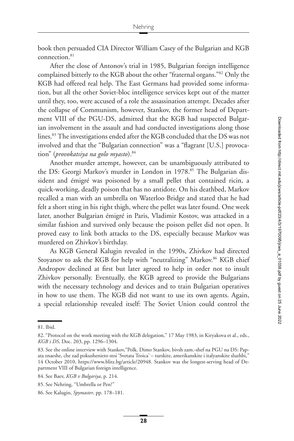book then persuaded CIA Director William Casey of the Bulgarian and KGB connection.<sup>81</sup>

After the close of Antonov's trial in 1985, Bulgarian foreign intelligence complained bitterly to the KGB about the other "fraternal organs.["82](#page-25-1) Only the KGB had offered real help. The East Germans had provided some information, but all the other Soviet-bloc intelligence services kept out of the matter until they, too, were accused of a role the assassination attempt. Decades after the collapse of Communism, however, Stankov, the former head of Department VIII of the PGU-DS, admitted that the KGB had suspected Bulgarian involvement in the assault and had conducted investigations along those lines[.83](#page-25-2) The investigations ended after the KGB concluded that the DS was not involved and that the "Bulgarian connection" was a "flagrant [U.S.] provocation" (*provokatsiya na golo myasto*)[.84](#page-25-3)

Another murder attempt, however, can be unambiguously attributed to the DS: Georgi Markov's murder in London in 1978.<sup>85</sup> The Bulgarian dissident and émigré was poisoned by a small pellet that contained ricin, a quick-working, deadly poison that has no antidote. On his deathbed, Markov recalled a man with an umbrella on Waterloo Bridge and stated that he had felt a short sting in his right thigh, where the pellet was later found. One week later, another Bulgarian émigré in Paris, Vladimir Kostov, was attacked in a similar fashion and survived only because the poison pellet did not open. It proved easy to link both attacks to the DS, especially because Markov was murdered on Zhivkov's birthday.

As KGB General Kalugin revealed in the 1990s, Zhivkov had directed Stoyanov to ask the KGB for help with "neutralizing" Markov.<sup>86</sup> KGB chief Andropov declined at first but later agreed to help in order not to insult Zhivkov personally. Eventually, the KGB agreed to provide the Bulgarians with the necessary technology and devices and to train Bulgarian operatives in how to use them. The KGB did not want to use its own agents. Again, a special relationship revealed itself: The Soviet Union could control the

<span id="page-25-0"></span><sup>81.</sup> Ibid.

<span id="page-25-1"></span><sup>82. &</sup>quot;Protocol on the work meeting with the KGB delegation," 17 May 1983, in Kiryakova et al., eds., *KGB i DS*, Doc. 203, pp. 1296–1304.

<span id="page-25-2"></span><sup>83.</sup> See the online interview with Stankov,"Polk. Dimo Stankov, bivsh zam.-shef na PGU na DS: Papata znaeshe, che zad pokushenieto stoi 'Svetata Troica' – turskite, amerikanskite i italyanskite sluzhbi," 14 October 2010, [https://www.blitz.bg/article/20948.](https://www.blitz.bg/article/20948) Stankov was the longest-serving head of Department VIII of Bulgarian foreign intelligence.

<span id="page-25-3"></span><sup>84.</sup> See Baev, *KGB v Bulgariya*, p. 214.

<span id="page-25-4"></span><sup>85.</sup> See Nehring, "Umbrella or Pen?"

<span id="page-25-5"></span><sup>86.</sup> See Kalugin, *Spymaster*, pp. 178–181.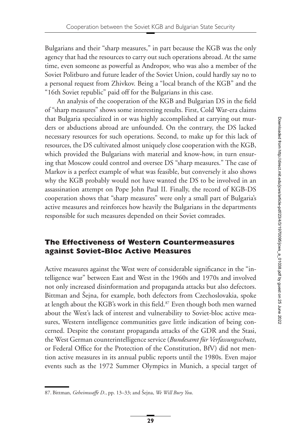Bulgarians and their "sharp measures," in part because the KGB was the only agency that had the resources to carry out such operations abroad. At the same time, even someone as powerful as Andropov, who was also a member of the Soviet Politburo and future leader of the Soviet Union, could hardly say no to a personal request from Zhivkov. Being a "local branch of the KGB" and the "16th Soviet republic" paid off for the Bulgarians in this case.

An analysis of the cooperation of the KGB and Bulgarian DS in the field of "sharp measures" shows some interesting results. First, Cold War-era claims that Bulgaria specialized in or was highly accomplished at carrying out murders or abductions abroad are unfounded. On the contrary, the DS lacked necessary resources for such operations. Second, to make up for this lack of resources, the DS cultivated almost uniquely close cooperation with the KGB, which provided the Bulgarians with material and know-how, in turn ensuring that Moscow could control and oversee DS "sharp measures." The case of Markov is a perfect example of what was feasible, but conversely it also shows why the KGB probably would not have wanted the DS to be involved in an assassination attempt on Pope John Paul II. Finally, the record of KGB-DS cooperation shows that "sharp measures" were only a small part of Bulgaria's active measures and reinforces how heavily the Bulgarians in the departments responsible for such measures depended on their Soviet comrades.

#### **The Effectiveness of Western Countermeasures against Soviet-Bloc Active Measures**

Active measures against the West were of considerable significance in the "intelligence war" between East and West in the 1960s and 1970s and involved not only increased disinformation and propaganda attacks but also defectors. Bittman and Šejna, for example, both defectors from Czechoslovakia, spoke at length about the KGB's work in this field. $87$  Even though both men warned about the West's lack of interest and vulnerability to Soviet-bloc active measures, Western intelligence communities gave little indication of being concerned. Despite the constant propaganda attacks of the GDR and the Stasi, the West German counterintelligence service (*Bundesamt für Verfassungsschutz*, or Federal Office for the Protection of the Constitution, BfV) did not mention active measures in its annual public reports until the 1980s. Even major events such as the 1972 Summer Olympics in Munich, a special target of

<span id="page-26-0"></span><sup>87.</sup> Bittman, *Geheimwaffe D.*, pp. 13–33; and Šejna, *We Will Bury You*.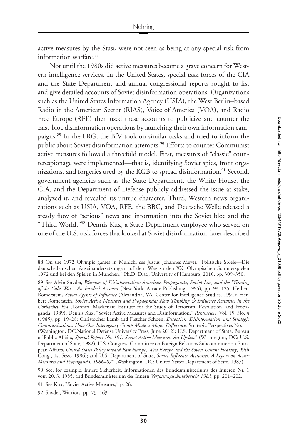active measures by the Stasi, were not seen as being at any special risk from information warfare.<sup>88</sup>

Not until the 1980s did active measures become a grave concern for Western intelligence services. In the United States, special task forces of the CIA and the State Department and annual congressional reports sought to list and give detailed accounts of Soviet disinformation operations. Organizations such as the United States Information Agency (USIA), the West Berlin–based Radio in the American Sector (RIAS), Voice of America (VOA), and Radio Free Europe (RFE) then used these accounts to publicize and counter the East-bloc disinformation operations by launching their own information campaigns[.89](#page-27-1) In the FRG, the BfV took on similar tasks and tried to inform the public about Soviet disinformation attempts.<sup>90</sup> Efforts to counter Communist active measures followed a threefold model. First, measures of "classic" counterespionage were implemented—that is, identifying Soviet spies, front organizations, and forgeries used by the KGB to spread disinformation.<sup>91</sup> Second, government agencies such as the State Department, the White House, the CIA, and the Department of Defense publicly addressed the issue at stake, analyzed it, and revealed its untrue character. Third, Western news organizations such as USIA, VOA, RFE, the BBC, and Deutsche Welle released a steady flow of "serious" news and information into the Soviet bloc and the "Third World.["92](#page-27-4) Dennis Kux, a State Department employee who served on one of the U.S. task forces that looked at Soviet disinformation, later described

<span id="page-27-0"></span><sup>88.</sup> On the 1972 Olympic games in Munich, see Justus Johannes Meyer, "Politische Spiele—Die deutsch-deutschen Auseinandersetzungen auf dem Weg zu den XX. Olympischen Sommerspielen 1972 und bei den Spielen in München," Ph.D. Diss., University of Hamburg, 2010, pp. 309–350.

<span id="page-27-1"></span><sup>89.</sup> See Alvin Snyder, *Warriors of Disinformation: American Propaganda, Soviet Lies, and the Winning of the Cold War—An Insider's Account* (New York: Arcade Publishing, 1995), pp. 93–125; Herbert Romerstein, *Soviet Agents of Influence* (Alexandria, VA: Center for Intelligence Studies, 1991); Herbert Romerstein, *Soviet Active Measures and Propaganda: New Thinking & Influence Activities in the Gorbachev Era* (Toronto: Mackenzie Institute for the Study of Terrorism, Revolution, and Propaganda, 1989); Dennis Kux, "Soviet Active Measures and Disinformation," *Parameters*, Vol. 15, No. 4 (1985), pp. 19–28; Christopher Lamb and Fletcher Schoen, *Deception, Disinformation, and Strategic Communications: How One Interagency Group Made a Major Difference,* Strategic Perspectives No. 11 (Washington, DC:National Defense University Press, June 2012); U.S. Department of State, Bureau of Public Affairs, *Special Report No. 101: Soviet Active Measures. An Update*" (Washington, DC: U.S. Department of State, 1982); U.S. Congress, Committee on Foreign Relations Subcommittee on European Affairs, *United States Policy toward East Europe, West Europe and the Soviet Union: Hearing*, 99th Cong., 1st Sess., 1986); and U.S. Department of State, *Soviet Influence Activities: A Report on Active Measures and Propaganda, 1986–87*" (Washington, DC: United States Department of State, 1987).

<span id="page-27-2"></span><sup>90.</sup> See, for example, Innere Sicherheit. Informationen des Bundesministeriums des Inneren Nr. 1 vom 20. 3. 1985; and Bundesministerium des Innern *Verfassungsschutzbericht 1983*, pp. 201–202.

<span id="page-27-3"></span><sup>91.</sup> See Kux, "Soviet Active Measures," p. 26.

<span id="page-27-4"></span><sup>92.</sup> Snyder, Warriors, pp. 73–163.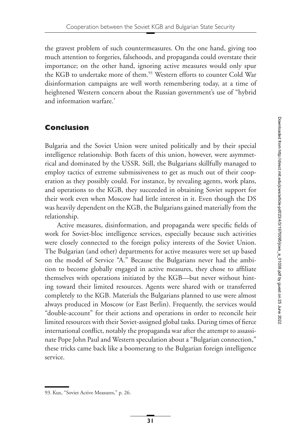the gravest problem of such countermeasures. On the one hand, giving too much attention to forgeries, falsehoods, and propaganda could overstate their importance; on the other hand, ignoring active measures would only spur the KGB to undertake more of them.<sup>93</sup> Western efforts to counter Cold War disinformation campaigns are well worth remembering today, at a time of heightened Western concern about the Russian government's use of "hybrid and information warfare.'

# **Conclusion**

Bulgaria and the Soviet Union were united politically and by their special intelligence relationship. Both facets of this union, however, were asymmetrical and dominated by the USSR. Still, the Bulgarians skillfully managed to employ tactics of extreme submissiveness to get as much out of their cooperation as they possibly could. For instance, by revealing agents, work plans, and operations to the KGB, they succeeded in obtaining Soviet support for their work even when Moscow had little interest in it. Even though the DS was heavily dependent on the KGB, the Bulgarians gained materially from the relationship.

Active measures, disinformation, and propaganda were specific fields of work for Soviet-bloc intelligence services, especially because such activities were closely connected to the foreign policy interests of the Soviet Union. The Bulgarian (and other) departments for active measures were set up based on the model of Service "A." Because the Bulgarians never had the ambition to become globally engaged in active measures, they chose to affiliate themselves with operations initiated by the KGB—but never without hinting toward their limited resources. Agents were shared with or transferred completely to the KGB. Materials the Bulgarians planned to use were almost always produced in Moscow (or East Berlin). Frequently, the services would "double-account" for their actions and operations in order to reconcile heir limited resources with their Soviet-assigned global tasks. During times of fierce international conflict, notably the propaganda war after the attempt to assassinate Pope John Paul and Western speculation about a "Bulgarian connection," these tricks came back like a boomerang to the Bulgarian foreign intelligence service.

<span id="page-28-0"></span><sup>93.</sup> Kux, "Soviet Active Measures," p. 26.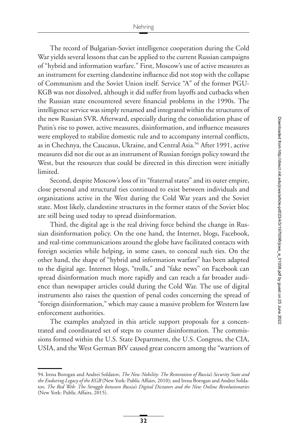The record of Bulgarian-Soviet intelligence cooperation during the Cold War yields several lessons that can be applied to the current Russian campaigns of "hybrid and information warfare." First, Moscow's use of active measures as an instrument for exerting clandestine influence did not stop with the collapse of Communism and the Soviet Union itself. Service "A" of the former PGU-KGB was not dissolved, although it did suffer from layoffs and cutbacks when the Russian state encountered severe financial problems in the 1990s. The intelligence service was simply renamed and integrated within the structures of the new Russian SVR. Afterward, especially during the consolidation phase of Putin's rise to power, active measures, disinformation, and influence measures were employed to stabilize domestic rule and to accompany internal conflicts, as in Chechnya, the Caucasus, Ukraine, and Central Asia.<sup>94</sup> After 1991, active measures did not die out as an instrument of Russian foreign policy toward the West, but the resources that could be directed in this direction were initially limited.

Second, despite Moscow's loss of its "fraternal states" and its outer empire, close personal and structural ties continued to exist between individuals and organizations active in the West during the Cold War years and the Soviet state. Most likely, clandestine structures in the former states of the Soviet bloc are still being used today to spread disinformation.

Third, the digital age is the real driving force behind the change in Russian disinformation policy. On the one hand, the Internet, blogs, Facebook, and real-time communications around the globe have facilitated contacts with foreign societies while helping, in some cases, to conceal such ties. On the other hand, the shape of "hybrid and information warfare" has been adapted to the digital age. Internet blogs, "trolls," and "fake news" on Facebook can spread disinformation much more rapidly and can reach a far broader audience than newspaper articles could during the Cold War. The use of digital instruments also raises the question of penal codes concerning the spread of "foreign disinformation," which may cause a massive problem for Western law enforcement authorities.

The examples analyzed in this article support proposals for a concentrated and coordinated set of steps to counter disinformation. The commissions formed within the U.S. State Department, the U.S. Congress, the CIA, USIA, and the West German BfV caused great concern among the "warriors of

<span id="page-29-0"></span><sup>94.</sup> Irena Borogan and Andrei Soldatov, *The New Nobility: The Restoration of Russia's Security State and the Enduring Legacy of the KGB* (New York: Public Affairs, 2010); and Irena Borogan and Andrei Soldatov, *The Red Web: The Struggle between Russia's Digital Dictators and the New Online Revolutionaries* (New York: Public Affairs, 2015).